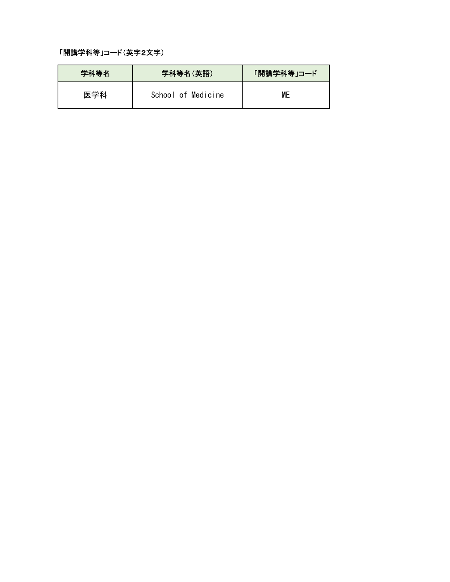#### 「開講学科等」コード(英字2文字)

| 学科等名 | 学科等名(英語)           | 「開講学科等」コード |
|------|--------------------|------------|
| 医学科  | School of Medicine | <b>ME</b>  |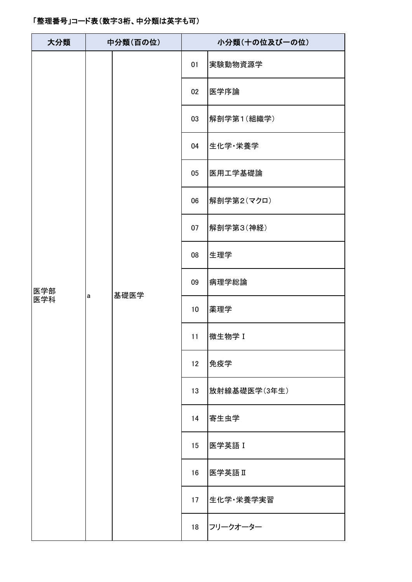| 大分類 |   | 中分類(百の位) | 小分類(十の位及び一の位)   |              |  |  |
|-----|---|----------|-----------------|--------------|--|--|
|     |   |          | 01              | 実験動物資源学      |  |  |
|     |   |          | 02              | 医学序論         |  |  |
|     |   |          | 03              | 解剖学第1(組織学)   |  |  |
|     |   |          | 04              | 生化学・栄養学      |  |  |
|     |   |          | 05              | 医用工学基礎論      |  |  |
|     |   | 基礎医学     | 06              | 解剖学第2(マクロ)   |  |  |
|     |   |          | 07              | 解剖学第3(神経)    |  |  |
|     | a |          | 08              | 生理学          |  |  |
| 医学部 |   |          | 09              | 病理学総論        |  |  |
| 医学科 |   |          | 10 <sup>°</sup> | 薬理学          |  |  |
|     |   |          | 11              | 做生物学 I       |  |  |
|     |   |          | 12              | 免疫学          |  |  |
|     |   |          | 13              | 放射線基礎医学(3年生) |  |  |
|     |   |          | 14              | 寄生虫学         |  |  |
|     |   |          | 15              | 医学英語 I       |  |  |
|     |   |          | 16              | 医学英語Ⅱ        |  |  |
|     |   |          | 17              | 生化学·栄養学実習    |  |  |
|     |   |          | 18              | フリークオーター     |  |  |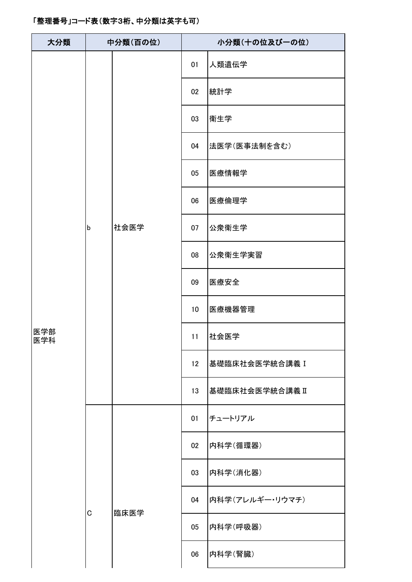| 大分類        |             | 中分類(百の位) | 小分類(十の位及び一の位)   |                 |  |
|------------|-------------|----------|-----------------|-----------------|--|
|            |             |          | 01              | 人類遺伝学           |  |
|            |             |          | 02              | 統計学             |  |
|            |             |          | 03              | 衛生学             |  |
|            |             |          | 04              | 法医学(医事法制を含む)    |  |
|            |             |          | 05              | 医療情報学           |  |
|            |             |          | 06              | 医療倫理学           |  |
|            | $\mathsf b$ | 社会医学     | 07              | 公衆衛生学           |  |
|            |             |          | 08              | 公衆衛生学実習         |  |
|            |             |          | 09              | 医療安全            |  |
|            |             |          | 10 <sup>°</sup> | 医療機器管理          |  |
| 医学部<br>医学科 |             |          | 11              | 社会医学            |  |
|            |             |          | 12 <sup>2</sup> | 基礎臨床社会医学統合講義 I  |  |
|            |             |          | 13              | 基礎臨床社会医学統合講義 II |  |
|            |             |          | 01              | チュートリアル         |  |
|            |             |          | 02              | 内科学(循環器)        |  |
|            |             |          | 03              | 内科学(消化器)        |  |
|            | C           | 臨床医学     | 04              | 内科学(アレルギー・リウマチ) |  |
|            |             |          | 05              | 内科学(呼吸器)        |  |
|            |             |          | 06              | 内科学(腎臓)         |  |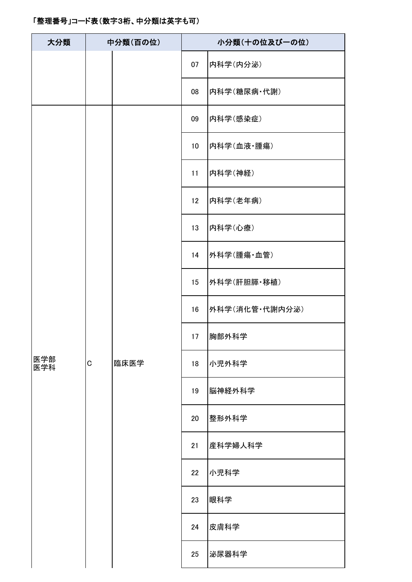| 大分類        |   | 中分類(百の位) | 小分類(十の位及び一の位)   |                |  |  |
|------------|---|----------|-----------------|----------------|--|--|
|            |   |          | 07              | 内科学(内分泌)       |  |  |
|            |   |          | 08              | 内科学(糖尿病·代謝)    |  |  |
|            |   |          | 09              | 内科学(感染症)       |  |  |
|            |   |          | 10 <sup>°</sup> | 内科学(血液·腫瘍)     |  |  |
|            |   |          | 11              | 内科学(神経)        |  |  |
|            |   |          | 12              | 内科学(老年病)       |  |  |
|            |   |          | 13              | 内科学(心療)        |  |  |
| 医学部<br>医学科 | C | 臨床医学     | 14              | 外科学(腫瘍·血管)     |  |  |
|            |   |          | 15              | 外科学(肝胆膵·移植)    |  |  |
|            |   |          | 16              | 外科学(消化管·代謝内分泌) |  |  |
|            |   |          | 17              | 胸部外科学          |  |  |
|            |   |          | 18              | 小児外科学          |  |  |
|            |   |          | 19              | 脳神経外科学         |  |  |
|            |   |          | 20              | 整形外科学          |  |  |
|            |   |          | 21              | 産科学婦人科学        |  |  |
|            |   |          | 22              | 小児科学           |  |  |
|            |   |          | 23              | 眼科学            |  |  |
|            |   |          | 24              | 皮膚科学           |  |  |
|            |   |          | 25              | 泌尿器科学          |  |  |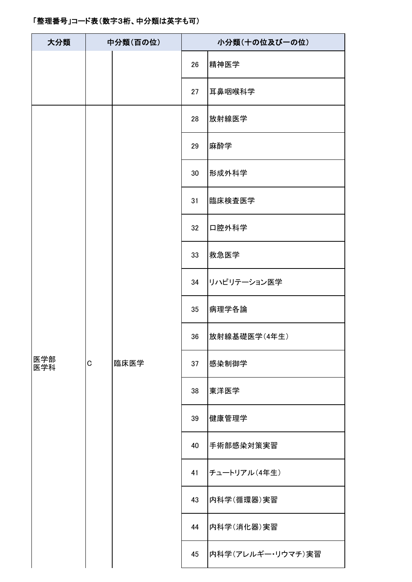| 大分類             |  | 中分類(百の位) | 小分類(十の位及び一の位) |                   |  |
|-----------------|--|----------|---------------|-------------------|--|
|                 |  |          | 26            | 精神医学              |  |
|                 |  |          | 27            | 耳鼻咽喉科学            |  |
|                 |  |          | 28            | 放射線医学             |  |
|                 |  |          | 29            | 麻酔学               |  |
|                 |  |          | 30            | 形成外科学             |  |
|                 |  |          | 31            | 臨床検査医学            |  |
|                 |  |          | 32            | 口腔外科学             |  |
|                 |  | 臨床医学     | 33            | 救急医学              |  |
| 医学部<br>C<br>医学科 |  |          | 34            | リハビリテーション医学       |  |
|                 |  |          | 35            | 病理学各論             |  |
|                 |  |          | 36            | 放射線基礎医学(4年生)      |  |
|                 |  |          | 37            | 感染制御学             |  |
|                 |  |          | 38            | 東洋医学              |  |
|                 |  |          | 39            | 健康管理学             |  |
|                 |  |          | 40            | 手術部感染対策実習         |  |
|                 |  |          | 41            | チュートリアル(4年生)      |  |
|                 |  |          | 43            | 内科学(循環器)実習        |  |
|                 |  |          | 44            | 内科学(消化器)実習        |  |
|                 |  |          | 45            | 内科学(アレルギー・リウマチ)実習 |  |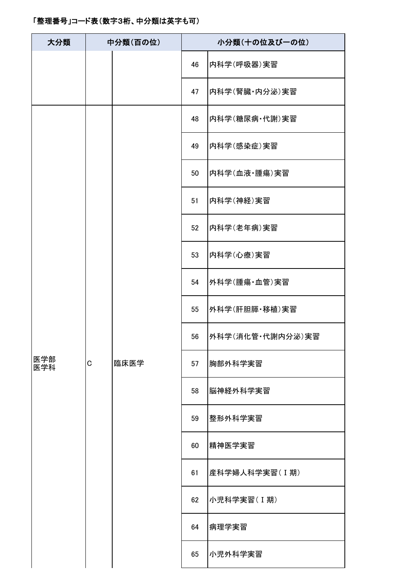| 大分類        |   | 中分類(百の位) | 小分類(十の位及び一の位) |                  |  |  |
|------------|---|----------|---------------|------------------|--|--|
|            |   |          | 46            | 内科学(呼吸器)実習       |  |  |
|            |   |          | 47            | 内科学(腎臓·内分泌)実習    |  |  |
|            |   |          | 48            | 内科学(糖尿病·代謝)実習    |  |  |
|            |   |          | 49            | 内科学(感染症)実習       |  |  |
|            |   |          | 50            | 内科学(血液·腫瘍)実習     |  |  |
|            |   |          | 51            | 内科学(神経)実習        |  |  |
|            |   |          | 52            | 内科学(老年病)実習       |  |  |
| 医学部<br>医学科 |   | 臨床医学     | 53            | 内科学(心療)実習        |  |  |
|            |   |          | 54            | 外科学(腫瘍·血管)実習     |  |  |
|            |   |          | 55            | 外科学(肝胆膵・移植)実習    |  |  |
|            |   |          | 56            | 外科学(消化管·代謝内分泌)実習 |  |  |
|            | C |          | 57            | 胸部外科学実習          |  |  |
|            |   |          | 58            | 脳神経外科学実習         |  |  |
|            |   |          | 59            | 整形外科学実習          |  |  |
|            |   |          | 60            | 精神医学実習           |  |  |
|            |   |          | 61            | 産科学婦人科学実習(I期)    |  |  |
|            |   |          | 62            | 小児科学実習(I期)       |  |  |
|            |   |          | 64            | 病理学実習            |  |  |
|            |   |          | 65            | 小児外科学実習          |  |  |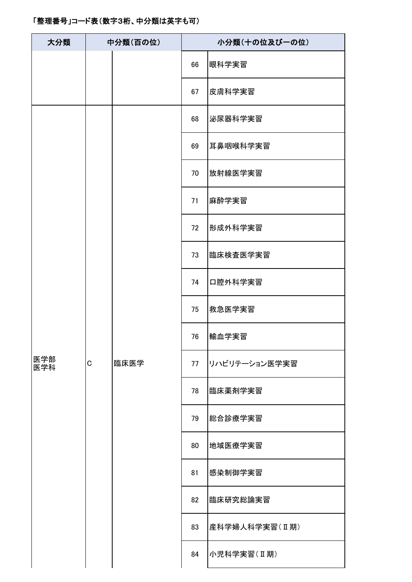| 大分類        |             | 中分類(百の位) | 小分類(十の位及び一の位) |               |  |
|------------|-------------|----------|---------------|---------------|--|
|            |             |          | 66            | 眼科学実習         |  |
|            |             |          | 67            | 皮膚科学実習        |  |
|            |             |          | 68            | 泌尿器科学実習       |  |
|            |             |          | 69            | 耳鼻咽喉科学実習      |  |
|            |             |          | 70            | 放射線医学実習       |  |
|            |             |          | 71            | 麻酔学実習         |  |
|            |             |          | 72            | 形成外科学実習       |  |
| 医学部<br>医学科 |             | 臨床医学     | 73            | 臨床検査医学実習      |  |
|            |             |          | 74            | 口腔外科学実習       |  |
|            |             |          | 75            | 救急医学実習        |  |
|            |             |          | 76            | 輸血学実習         |  |
|            | $\mathsf C$ |          | 77            | リハビリテーション医学実習 |  |
|            |             |          | 78            | 臨床薬剤学実習       |  |
|            |             |          | 79            | 総合診療学実習       |  |
|            |             |          | 80            | 地域医療学実習       |  |
|            |             |          | 81            | 感染制御学実習       |  |
|            |             |          | 82            | 臨床研究総論実習      |  |
|            |             |          | 83            | 産科学婦人科学実習(I期) |  |
|            |             |          | 84            | 小児科学実習(I期)    |  |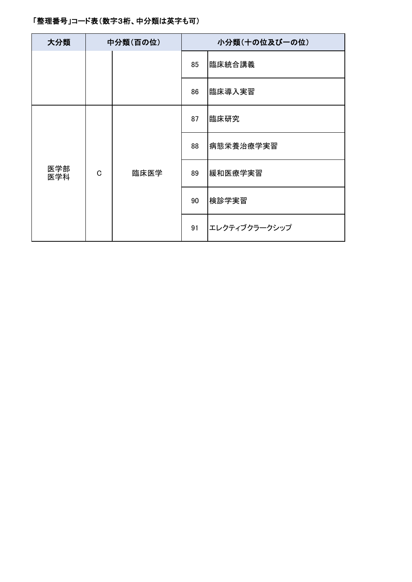| 大分類        |             | 中分類(百の位) | 小分類(十の位及び一の位) |               |  |
|------------|-------------|----------|---------------|---------------|--|
|            |             |          | 85            | 臨床統合講義        |  |
|            |             |          | 86            | 臨床導入実習        |  |
|            |             |          | 87            | 臨床研究          |  |
| 医学部<br>医学科 | $\mathsf C$ | 臨床医学     | 88            | 病態栄養治療学実習     |  |
|            |             |          | 89            | 緩和医療学実習       |  |
|            |             |          | 90            | 検診学実習         |  |
|            |             |          | 91            | エレクティブクラークシップ |  |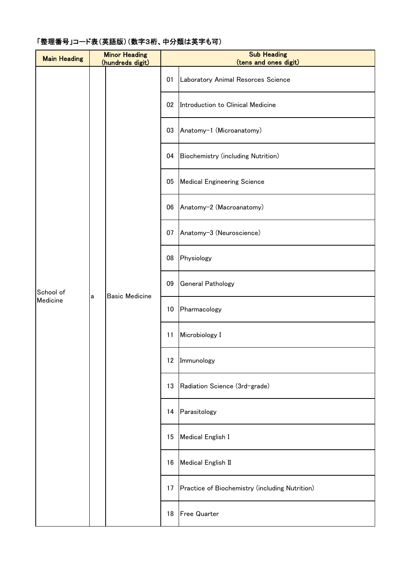| <b>Main Heading</b>        |                          | <b>Minor Heading</b><br>(hundreds digit) |                                    | <b>Sub Heading</b><br>(tens and ones digit)    |                                   |  |    |                   |
|----------------------------|--------------------------|------------------------------------------|------------------------------------|------------------------------------------------|-----------------------------------|--|----|-------------------|
| 01<br>02<br>03<br>04       |                          |                                          |                                    | Laboratory Animal Resorces Science             |                                   |  |    |                   |
|                            |                          |                                          |                                    |                                                | Introduction to Clinical Medicine |  |    |                   |
|                            | Anatomy-1 (Microanatomy) |                                          |                                    |                                                |                                   |  |    |                   |
|                            |                          |                                          | Biochemistry (including Nutrition) |                                                |                                   |  |    |                   |
|                            |                          |                                          | 05                                 | <b>Medical Engineering Science</b>             |                                   |  |    |                   |
|                            |                          |                                          | 06                                 | Anatomy-2 (Macroanatomy)                       |                                   |  |    |                   |
|                            |                          |                                          | 07                                 | Anatomy-3 (Neuroscience)                       |                                   |  |    |                   |
|                            |                          |                                          | 08                                 | Physiology                                     |                                   |  |    |                   |
| School of<br>а<br>Medicine | <b>Basic Medicine</b>    | 09                                       | General Pathology                  |                                                |                                   |  |    |                   |
|                            |                          | 10 <sup>°</sup>                          | Pharmacology                       |                                                |                                   |  |    |                   |
|                            |                          | 11                                       | Microbiology I                     |                                                |                                   |  |    |                   |
|                            |                          |                                          | 12 Immunology                      |                                                |                                   |  |    |                   |
|                            |                          |                                          |                                    | 13                                             | Radiation Science (3rd-grade)     |  |    |                   |
|                            |                          |                                          | 14                                 | Parasitology                                   |                                   |  |    |                   |
|                            |                          |                                          |                                    |                                                |                                   |  | 15 | Medical English I |
|                            |                          |                                          | 16                                 | Medical English II                             |                                   |  |    |                   |
|                            |                          |                                          | 17                                 | Practice of Biochemistry (including Nutrition) |                                   |  |    |                   |
|                            |                          |                                          | 18                                 | <b>Free Quarter</b>                            |                                   |  |    |                   |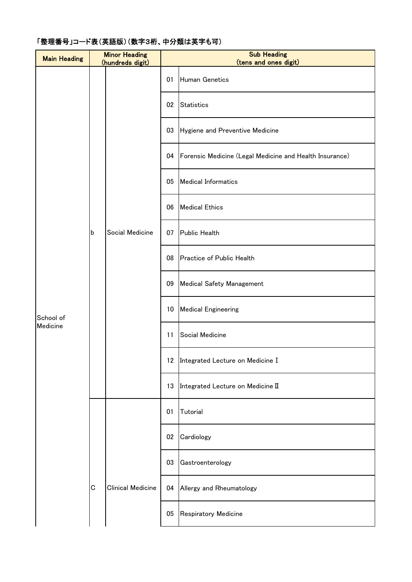| <b>Main Heading</b>   |   | <b>Minor Heading</b><br>(hundreds digit) | <b>Sub Heading</b><br>(tens and ones digit) |                                                         |  |  |
|-----------------------|---|------------------------------------------|---------------------------------------------|---------------------------------------------------------|--|--|
|                       |   |                                          | 01                                          | Human Genetics                                          |  |  |
|                       |   |                                          | 02                                          | <b>Statistics</b>                                       |  |  |
|                       |   |                                          | 03                                          | Hygiene and Preventive Medicine                         |  |  |
|                       |   |                                          | 04                                          | Forensic Medicine (Legal Medicine and Health Insurance) |  |  |
|                       |   |                                          | 05                                          | <b>Medical Informatics</b>                              |  |  |
|                       |   |                                          | 06                                          | <b>Medical Ethics</b>                                   |  |  |
|                       | b | Social Medicine                          | 07                                          | Public Health                                           |  |  |
| School of<br>Medicine |   |                                          | 08                                          | Practice of Public Health                               |  |  |
|                       |   |                                          | 09                                          | <b>Medical Safety Management</b>                        |  |  |
|                       |   |                                          | 10                                          | <b>Medical Engineering</b>                              |  |  |
|                       |   |                                          | 11                                          | Social Medicine                                         |  |  |
|                       |   |                                          |                                             | 12 Integrated Lecture on Medicine I                     |  |  |
|                       |   |                                          | 13                                          | Integrated Lecture on Medicine II                       |  |  |
|                       |   |                                          | 01                                          | Tutorial                                                |  |  |
|                       |   |                                          | 02                                          | Cardiology                                              |  |  |
|                       |   |                                          | 03                                          | Gastroenterology                                        |  |  |
|                       | C | <b>Clinical Medicine</b>                 | 04                                          | Allergy and Rheumatology                                |  |  |
|                       |   |                                          | 05                                          | Respiratory Medicine                                    |  |  |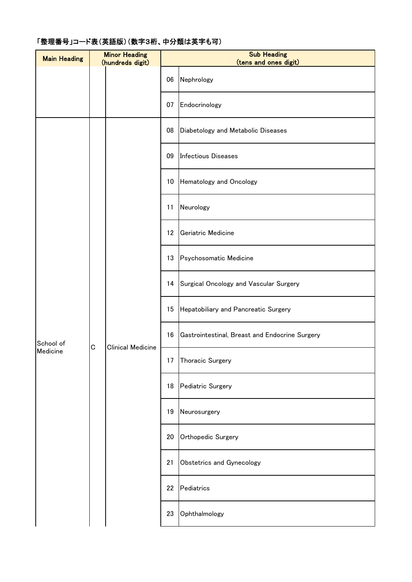| <b>Main Heading</b>        | <b>Minor Heading</b><br>(hundreds digit) |                          |    | <b>Sub Heading</b><br>(tens and ones digit)    |  |  |  |
|----------------------------|------------------------------------------|--------------------------|----|------------------------------------------------|--|--|--|
|                            |                                          |                          | 06 | Nephrology                                     |  |  |  |
|                            |                                          |                          | 07 | Endocrinology                                  |  |  |  |
|                            |                                          |                          | 08 | Diabetology and Metabolic Diseases             |  |  |  |
|                            |                                          |                          | 09 | <b>Infectious Diseases</b>                     |  |  |  |
|                            |                                          |                          | 10 | Hematology and Oncology                        |  |  |  |
|                            |                                          |                          | 11 | Neurology                                      |  |  |  |
|                            |                                          |                          | 12 | Geriatric Medicine                             |  |  |  |
|                            |                                          | <b>Clinical Medicine</b> | 13 | Psychosomatic Medicine                         |  |  |  |
| School of<br>C<br>Medicine |                                          |                          | 14 | Surgical Oncology and Vascular Surgery         |  |  |  |
|                            |                                          |                          | 15 | Hepatobiliary and Pancreatic Surgery           |  |  |  |
|                            |                                          |                          | 16 | Gastrointestinal, Breast and Endocrine Surgery |  |  |  |
|                            |                                          |                          |    | 17 Thoracic Surgery                            |  |  |  |
|                            |                                          |                          | 18 | Pediatric Surgery                              |  |  |  |
|                            |                                          |                          | 19 | Neurosurgery                                   |  |  |  |
|                            |                                          |                          | 20 | Orthopedic Surgery                             |  |  |  |
|                            |                                          |                          | 21 | Obstetrics and Gynecology                      |  |  |  |
|                            |                                          |                          | 22 | Pediatrics                                     |  |  |  |
|                            |                                          |                          | 23 | Ophthalmology                                  |  |  |  |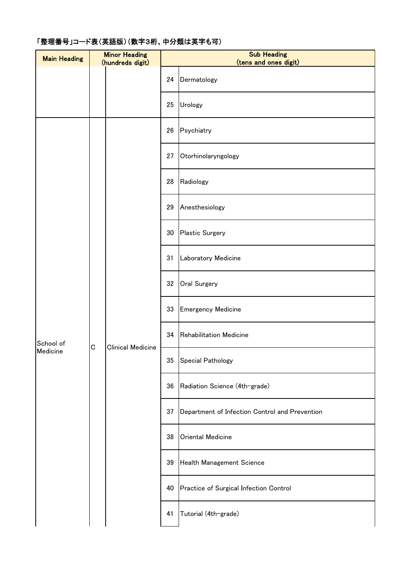| <b>Main Heading</b>                  | <b>Minor Heading</b><br>(hundreds digit) |                          |    | <b>Sub Heading</b><br>(tens and ones digit)    |  |  |  |
|--------------------------------------|------------------------------------------|--------------------------|----|------------------------------------------------|--|--|--|
|                                      |                                          |                          | 24 | Dermatology                                    |  |  |  |
|                                      |                                          |                          | 25 | Urology                                        |  |  |  |
|                                      |                                          |                          | 26 | Psychiatry                                     |  |  |  |
|                                      |                                          |                          | 27 | Otorhinolaryngology                            |  |  |  |
|                                      |                                          |                          | 28 | Radiology                                      |  |  |  |
|                                      |                                          |                          | 29 | Anesthesiology                                 |  |  |  |
|                                      |                                          |                          | 30 | Plastic Surgery                                |  |  |  |
|                                      |                                          | <b>Clinical Medicine</b> | 31 | Laboratory Medicine                            |  |  |  |
|                                      |                                          |                          | 32 | Oral Surgery                                   |  |  |  |
| School of<br>$\mathbf C$<br>Medicine |                                          |                          | 33 | <b>Emergency Medicine</b>                      |  |  |  |
|                                      |                                          |                          | 34 | Rehabilitation Medicine                        |  |  |  |
|                                      |                                          |                          |    | 35 Special Pathology                           |  |  |  |
|                                      |                                          |                          | 36 | Radiation Science (4th-grade)                  |  |  |  |
|                                      |                                          |                          | 37 | Department of Infection Control and Prevention |  |  |  |
|                                      |                                          |                          | 38 | Oriental Medicine                              |  |  |  |
|                                      |                                          |                          | 39 | Health Management Science                      |  |  |  |
|                                      |                                          |                          | 40 | Practice of Surgical Infection Control         |  |  |  |
|                                      |                                          |                          | 41 | Tutorial (4th-grade)                           |  |  |  |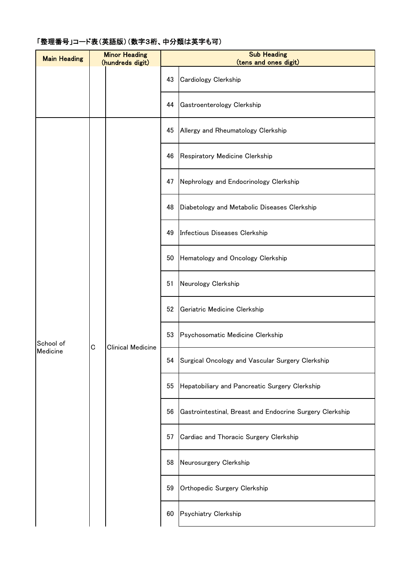| <b>Main Heading</b>   | <b>Minor Heading</b><br>(hundreds digit) |                          | <b>Sub Heading</b><br>(tens and ones digit) |                                                          |
|-----------------------|------------------------------------------|--------------------------|---------------------------------------------|----------------------------------------------------------|
|                       |                                          |                          | 43                                          | Cardiology Clerkship                                     |
|                       |                                          |                          | 44                                          | Gastroenterology Clerkship                               |
| School of<br>Medicine | C                                        | <b>Clinical Medicine</b> | 45                                          | Allergy and Rheumatology Clerkship                       |
|                       |                                          |                          | 46                                          | Respiratory Medicine Clerkship                           |
|                       |                                          |                          | 47                                          | Nephrology and Endocrinology Clerkship                   |
|                       |                                          |                          | 48                                          | Diabetology and Metabolic Diseases Clerkship             |
|                       |                                          |                          | 49                                          | Infectious Diseases Clerkship                            |
|                       |                                          |                          | 50                                          | Hematology and Oncology Clerkship                        |
|                       |                                          |                          | 51                                          | Neurology Clerkship                                      |
|                       |                                          |                          | 52                                          | Geriatric Medicine Clerkship                             |
|                       |                                          |                          | 53                                          | Psychosomatic Medicine Clerkship                         |
|                       |                                          |                          | 54                                          | Surgical Oncology and Vascular Surgery Clerkship         |
|                       |                                          |                          | 55                                          | Hepatobiliary and Pancreatic Surgery Clerkship           |
|                       |                                          |                          | 56                                          | Gastrointestinal, Breast and Endocrine Surgery Clerkship |
|                       |                                          |                          | 57                                          | Cardiac and Thoracic Surgery Clerkship                   |
|                       |                                          |                          | 58                                          | Neurosurgery Clerkship                                   |
|                       |                                          |                          | 59                                          | Orthopedic Surgery Clerkship                             |
|                       |                                          |                          | 60                                          | Psychiatry Clerkship                                     |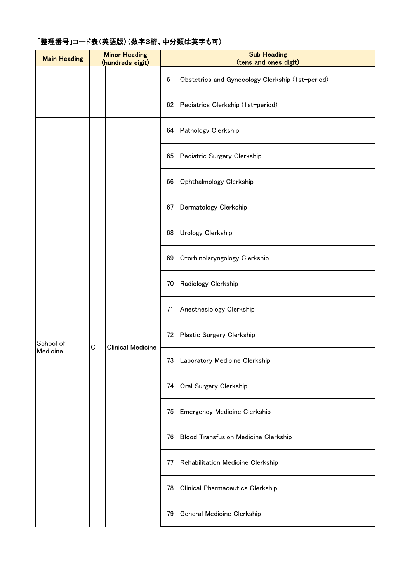# Main Heading **Minor Heading** (hundreds digit) **Sub Heading** (tens and ones digit) 61 Obstetrics and Gynecology Clerkship (1st-period) 62 Pediatrics Clerkship (1st-period) 64 Pathology Clerkship 65 Pediatric Surgery Clerkship 66 Ophthalmology Clerkship 67 Dermatology Clerkship 68 Urology Clerkship 69 Otorhinolaryngology Clerkship 70 Radiology Clerkship 71 Anesthesiology Clerkship 72 Plastic Surgery Clerkship 73 Laboratory Medicine Clerkship 74 Oral Surgery Clerkship 75 Emergency Medicine Clerkship 76 Blood Transfusion Medicine Clerkship 77 Rehabilitation Medicine Clerkship 78 Clinical Pharmaceutics Clerkship 79 General Medicine Clerkship C Clinical Medicine School of Medicine